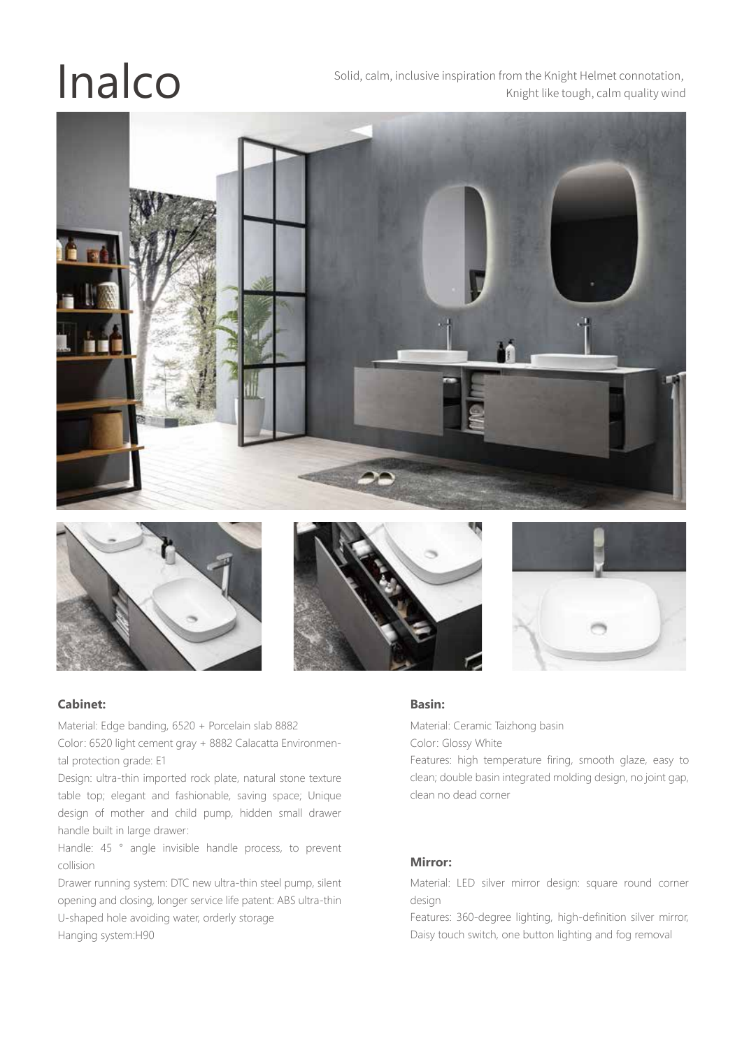Solid, calm, inclusive inspiration from the Knight Helmet connotation,<br>Knight like tough, calm quality wind Knight like tough, calm quality wind









#### **Cabinet:**

Material: Edge banding, 6520 + Porcelain slab 8882

Color: 6520 light cement gray + 8882 Calacatta Environmental protection grade: E1

Design: ultra-thin imported rock plate, natural stone texture table top; elegant and fashionable, saving space; Unique design of mother and child pump, hidden small drawer handle built in large drawer:

Handle: 45 ° angle invisible handle process, to prevent collision

Drawer running system: DTC new ultra-thin steel pump, silent opening and closing, longer service life patent: ABS ultra-thin U-shaped hole avoiding water, orderly storage Hanging system:H90

#### **Basin:**

Material: Ceramic Taizhong basin Color: Glossy White

Features: high temperature firing, smooth glaze, easy to clean; double basin integrated molding design, no joint gap, clean no dead corner

#### **Mirror:**

Material: LED silver mirror design: square round corner design

Features: 360-degree lighting, high-definition silver mirror, Daisy touch switch, one button lighting and fog removal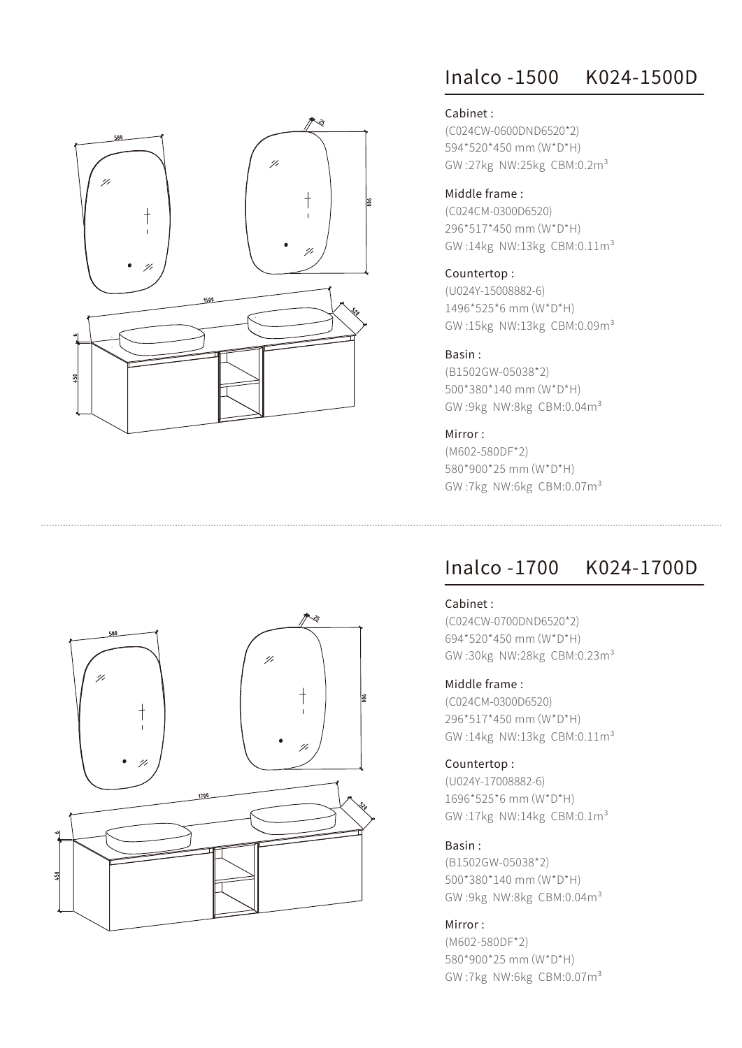

# Inalco -1500 K024-1500D

#### Cabinet :

(C024CW-0600DND6520\*2) 594\*520\*450 mm(W\*D\*H) GW :27kg NW:25kg CBM:0.2m³

#### Middle frame :

(C024CM-0300D6520) 296\*517\*450 mm(W\*D\*H) GW :14kg NW:13kg CBM:0.11m³

#### Countertop :

(U024Y-15008882-6) 1496\*525\*6 mm(W\*D\*H) GW :15kg NW:13kg CBM:0.09m³

# Basin :

(B1502GW-05038\*2) 500\*380\*140 mm(W\*D\*H) GW :9kg NW:8kg CBM:0.04m³

# Mirror :

(M602-580DF\*2) 580\*900\*25 mm(W\*D\*H) GW :7kg NW:6kg CBM:0.07m³

# Inalco -1700 K024-1700D

#### Cabinet :

(C024CW-0700DND6520\*2) 694\*520\*450 mm(W\*D\*H) GW :30kg NW:28kg CBM:0.23m³

# Middle frame :

(C024CM-0300D6520) 296\*517\*450 mm(W\*D\*H) GW :14kg NW:13kg CBM:0.11m³

#### Countertop :

(U024Y-17008882-6) 1696\*525\*6 mm(W\*D\*H) GW :17kg NW:14kg CBM:0.1m³

#### Basin :

(B1502GW-05038\*2) 500\*380\*140 mm(W\*D\*H) GW :9kg NW:8kg CBM:0.04m³

# Mirror :

(M602-580DF\*2) 580\*900\*25 mm(W\*D\*H) GW :7kg NW:6kg CBM:0.07m³

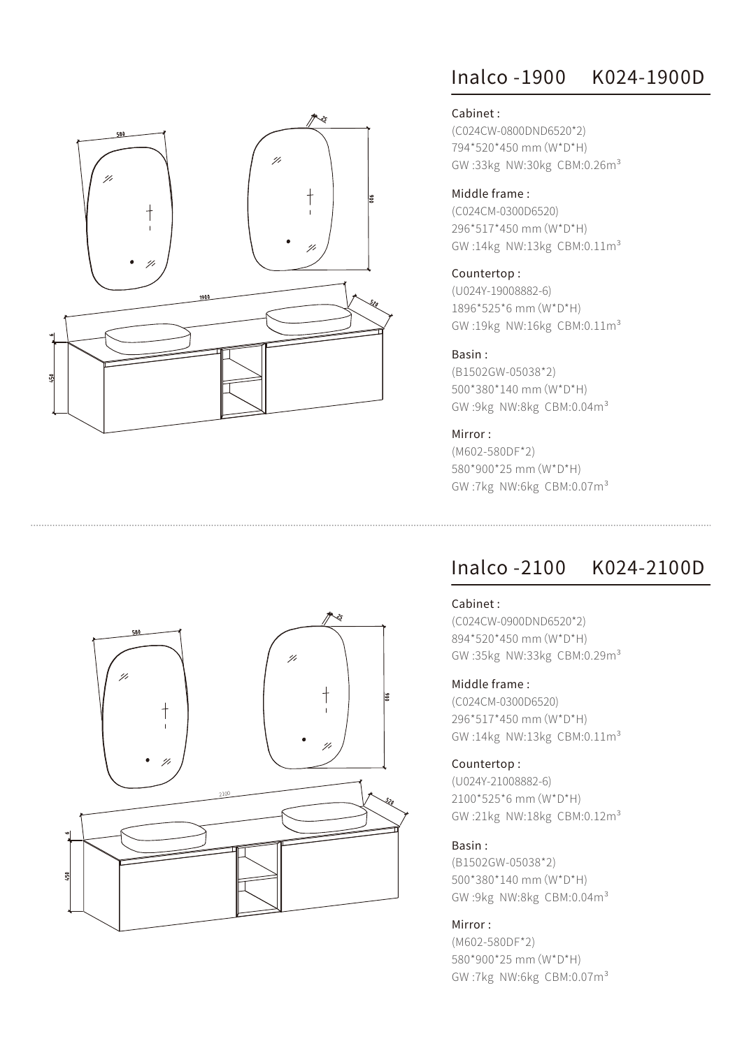

# Inalco -1900 K024-1900D

# Cabinet :

(C024CW-0800DND6520\*2) 794\*520\*450 mm(W\*D\*H) GW:33kg NW:30kg CBM:0.26m<sup>3</sup>

# Middle frame :

(C024CM-0300D6520) 296\*517\*450 mm(W\*D\*H) GW :14kg NW:13kg CBM:0.11m³

### Countertop :

(U024Y-19008882-6) 1896\*525\*6 mm(W\*D\*H) GW :19kg NW:16kg CBM:0.11m³

# Basin :

(B1502GW-05038\*2) 500\*380\*140 mm(W\*D\*H) GW :9kg NW:8kg CBM:0.04m³

# Mirror :

(M602-580DF\*2) 580\*900\*25 mm(W\*D\*H) GW :7kg NW:6kg CBM:0.07m³

# Inalco -2100 K024-2100D

#### Cabinet :

(C024CW-0900DND6520\*2) 894\*520\*450 mm(W\*D\*H) GW :35kg NW:33kg CBM:0.29m³

# Middle frame :

(C024CM-0300D6520) 296\*517\*450 mm(W\*D\*H) GW :14kg NW:13kg CBM:0.11m³

#### Countertop :

(U024Y-21008882-6) 2100\*525\*6 mm(W\*D\*H) GW :21kg NW:18kg CBM:0.12m³

#### Basin :

(B1502GW-05038\*2) 500\*380\*140 mm(W\*D\*H) GW :9kg NW:8kg CBM:0.04m³

# Mirror :

(M602-580DF\*2) 580\*900\*25 mm(W\*D\*H) GW :7kg NW:6kg CBM:0.07m³